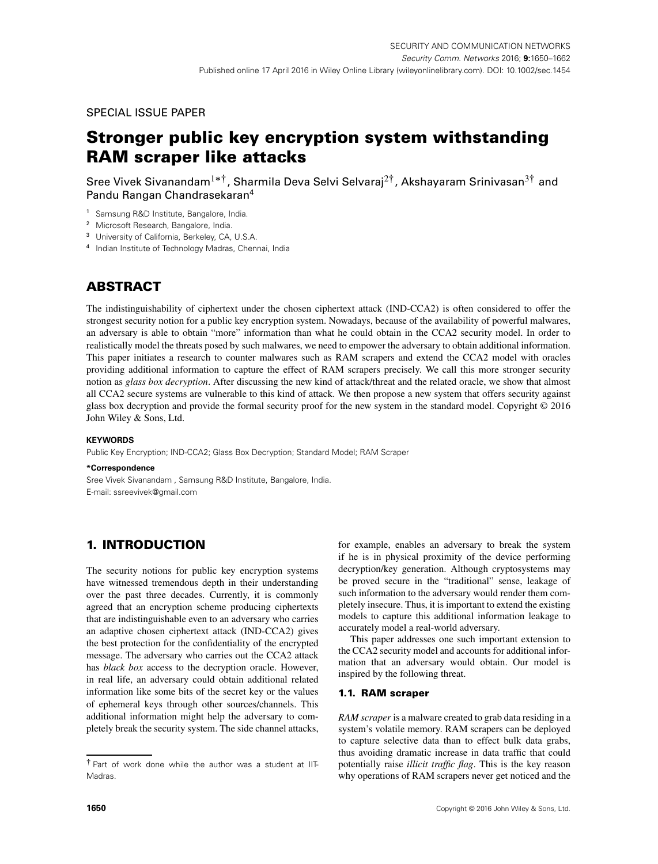<span id="page-0-0"></span>SPECIAL ISSUE PAPER

# **Stronger public key encryption system withstanding RAM scraper like attacks**

Sree Vivek Sivanandam $^{1*\dagger}$ , Sharmila Deva Selvi Selvaraj $^{2\dagger}$ , Akshayaram Srinivasan $^{3\dagger}$  and Pandu Rangan Chandrasekaran<sup>4</sup>

- <sup>1</sup> Samsung R&D Institute, Bangalore, India.
- <sup>2</sup> Microsoft Research, Bangalore, India.
- <sup>3</sup> University of California, Berkeley, CA, U.S.A.
- <sup>4</sup> Indian Institute of Technology Madras, Chennai, India

## **ABSTRACT**

The indistinguishability of ciphertext under the chosen ciphertext attack (IND-CCA2) is often considered to offer the strongest security notion for a public key encryption system. Nowadays, because of the availability of powerful malwares, an adversary is able to obtain "more" information than what he could obtain in the CCA2 security model. In order to realistically model the threats posed by such malwares, we need to empower the adversary to obtain additional information. This paper initiates a research to counter malwares such as RAM scrapers and extend the CCA2 model with oracles providing additional information to capture the effect of RAM scrapers precisely. We call this more stronger security notion as *glass box decryption*. After discussing the new kind of attack/threat and the related oracle, we show that almost all CCA2 secure systems are vulnerable to this kind of attack. We then propose a new system that offers security against glass box decryption and provide the formal security proof for the new system in the standard model. Copyright © 2016 John Wiley & Sons, Ltd.

#### **KEYWORDS**

Public Key Encryption; IND-CCA2; Glass Box Decryption; Standard Model; RAM Scraper

#### **\*Correspondence**

Sree Vivek Sivanandam , Samsung R&D Institute, Bangalore, India. E-mail: ssreevivek@gmail.com

## **1. INTRODUCTION**

The security notions for public key encryption systems have witnessed tremendous depth in their understanding over the past three decades. Currently, it is commonly agreed that an encryption scheme producing ciphertexts that are indistinguishable even to an adversary who carries an adaptive chosen ciphertext attack (IND-CCA2) gives the best protection for the confidentiality of the encrypted message. The adversary who carries out the CCA2 attack has *black box* access to the decryption oracle. However, in real life, an adversary could obtain additional related information like some bits of the secret key or the values of ephemeral keys through other sources/channels. This additional information might help the adversary to completely break the security system. The side channel attacks,

for example, enables an adversary to break the system if he is in physical proximity of the device performing decryption/key generation. Although cryptosystems may be proved secure in the "traditional" sense, leakage of such information to the adversary would render them completely insecure. Thus, it is important to extend the existing models to capture this additional information leakage to accurately model a real-world adversary.

This paper addresses one such important extension to the CCA2 security model and accounts for additional information that an adversary would obtain. Our model is inspired by the following threat.

#### **1.1. RAM scraper**

*RAM scraper* is a malware created to grab data residing in a system's volatile memory. RAM scrapers can be deployed to capture selective data than to effect bulk data grabs, thus avoiding dramatic increase in data traffic that could potentially raise *illicit traffic flag*. This is the key reason why operations of RAM scrapers never get noticed and the

<sup>&</sup>lt;sup>†</sup> Part of work done while the author was a student at IIT-Madras.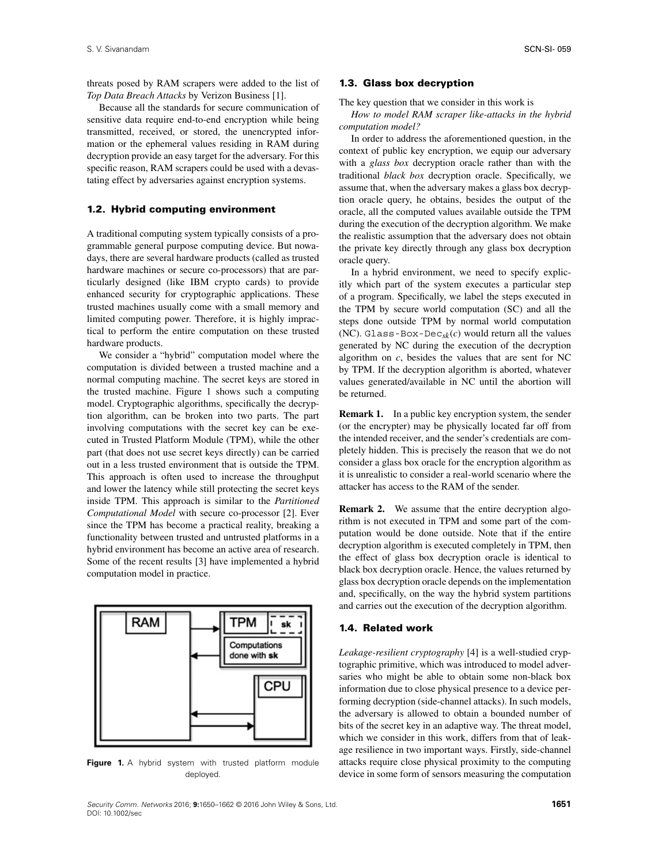threats posed by RAM scrapers were added to the list of *Top Data Breach Attacks* by Verizon Business [\[1\]](#page-9-0).

Because all the standards for secure communication of sensitive data require end-to-end encryption while being transmitted, received, or stored, the unencrypted information or the ephemeral values residing in RAM during decryption provide an easy target for the adversary. For this specific reason, RAM scrapers could be used with a devastating effect by adversaries against encryption systems.

### **1.2. Hybrid computing environment**

A traditional computing system typically consists of a programmable general purpose computing device. But nowadays, there are several hardware products (called as trusted hardware machines or secure co-processors) that are particularly designed (like IBM crypto cards) to provide enhanced security for cryptographic applications. These trusted machines usually come with a small memory and limited computing power. Therefore, it is highly impractical to perform the entire computation on these trusted hardware products.

We consider a "hybrid" computation model where the computation is divided between a trusted machine and a normal computing machine. The secret keys are stored in the trusted machine. Figure [1](#page-1-0) shows such a computing model. Cryptographic algorithms, specifically the decryption algorithm, can be broken into two parts. The part involving computations with the secret key can be executed in Trusted Platform Module (TPM), while the other part (that does not use secret keys directly) can be carried out in a less trusted environment that is outside the TPM. This approach is often used to increase the throughput and lower the latency while still protecting the secret keys inside TPM. This approach is similar to the *Partitioned Computational Model* with secure co-processor [\[2\]](#page-9-1). Ever since the TPM has become a practical reality, breaking a functionality between trusted and untrusted platforms in a hybrid environment has become an active area of research. Some of the recent results [\[3\]](#page-9-2) have implemented a hybrid computation model in practice.



<span id="page-1-0"></span>Figure 1. A hybrid system with trusted platform module deployed.

### **1.3. Glass box decryption**

The key question that we consider in this work is

*How to model RAM scraper like-attacks in the hybrid computation model?*

In order to address the aforementioned question, in the context of public key encryption, we equip our adversary with a *glass box* decryption oracle rather than with the traditional *black box* decryption oracle. Specifically, we assume that, when the adversary makes a glass box decryption oracle query, he obtains, besides the output of the oracle, all the computed values available outside the TPM during the execution of the decryption algorithm. We make the realistic assumption that the adversary does not obtain the private key directly through any glass box decryption oracle query.

In a hybrid environment, we need to specify explicitly which part of the system executes a particular step of a program. Specifically, we label the steps executed in the TPM by secure world computation (SC) and all the steps done outside TPM by normal world computation (NC). Glass-Box-Dec<sub>sk</sub> $(c)$  would return all the values generated by NC during the execution of the decryption algorithm on *c*, besides the values that are sent for NC by TPM. If the decryption algorithm is aborted, whatever values generated/available in NC until the abortion will be returned.

**Remark 1.** In a public key encryption system, the sender (or the encrypter) may be physically located far off from the intended receiver, and the sender's credentials are completely hidden. This is precisely the reason that we do not consider a glass box oracle for the encryption algorithm as it is unrealistic to consider a real-world scenario where the attacker has access to the RAM of the sender.

**Remark 2.** We assume that the entire decryption algorithm is not executed in TPM and some part of the computation would be done outside. Note that if the entire decryption algorithm is executed completely in TPM, then the effect of glass box decryption oracle is identical to black box decryption oracle. Hence, the values returned by glass box decryption oracle depends on the implementation and, specifically, on the way the hybrid system partitions and carries out the execution of the decryption algorithm.

#### **1.4. Related work**

*Leakage-resilient cryptography* [\[4\]](#page-9-3) is a well-studied cryptographic primitive, which was introduced to model adversaries who might be able to obtain some non-black box information due to close physical presence to a device performing decryption (side-channel attacks). In such models, the adversary is allowed to obtain a bounded number of bits of the secret key in an adaptive way. The threat model, which we consider in this work, differs from that of leakage resilience in two important ways. Firstly, side-channel attacks require close physical proximity to the computing device in some form of sensors measuring the computation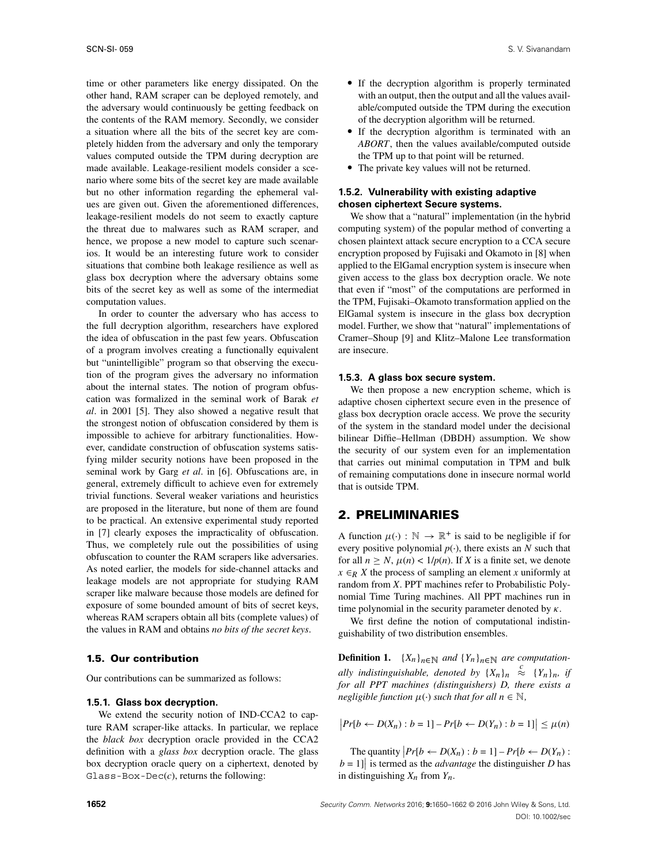time or other parameters like energy dissipated. On the other hand, RAM scraper can be deployed remotely, and the adversary would continuously be getting feedback on the contents of the RAM memory. Secondly, we consider a situation where all the bits of the secret key are completely hidden from the adversary and only the temporary values computed outside the TPM during decryption are made available. Leakage-resilient models consider a scenario where some bits of the secret key are made available but no other information regarding the ephemeral values are given out. Given the aforementioned differences, leakage-resilient models do not seem to exactly capture the threat due to malwares such as RAM scraper, and hence, we propose a new model to capture such scenarios. It would be an interesting future work to consider situations that combine both leakage resilience as well as glass box decryption where the adversary obtains some bits of the secret key as well as some of the intermediat computation values.

In order to counter the adversary who has access to the full decryption algorithm, researchers have explored the idea of obfuscation in the past few years. Obfuscation of a program involves creating a functionally equivalent but "unintelligible" program so that observing the execution of the program gives the adversary no information about the internal states. The notion of program obfuscation was formalized in the seminal work of Barak *et al*. in 2001 [\[5\]](#page-9-4). They also showed a negative result that the strongest notion of obfuscation considered by them is impossible to achieve for arbitrary functionalities. However, candidate construction of obfuscation systems satisfying milder security notions have been proposed in the seminal work by Garg *et al*. in [\[6\]](#page-9-5). Obfuscations are, in general, extremely difficult to achieve even for extremely trivial functions. Several weaker variations and heuristics are proposed in the literature, but none of them are found to be practical. An extensive experimental study reported in [\[7\]](#page-9-6) clearly exposes the impracticality of obfuscation. Thus, we completely rule out the possibilities of using obfuscation to counter the RAM scrapers like adversaries. As noted earlier, the models for side-channel attacks and leakage models are not appropriate for studying RAM scraper like malware because those models are defined for exposure of some bounded amount of bits of secret keys, whereas RAM scrapers obtain all bits (complete values) of the values in RAM and obtains *no bits of the secret keys*.

#### **1.5. Our contribution**

Our contributions can be summarized as follows:

#### **1.5.1. Glass box decryption.**

We extend the security notion of IND-CCA2 to capture RAM scraper-like attacks. In particular, we replace the *black box* decryption oracle provided in the CCA2 definition with a *glass box* decryption oracle. The glass box decryption oracle query on a ciphertext, denoted by Glass-Box-Dec $(c)$ , returns the following:

- If the decryption algorithm is properly terminated with an output, then the output and all the values available/computed outside the TPM during the execution of the decryption algorithm will be returned.
- If the decryption algorithm is terminated with an *ABORT*, then the values available/computed outside the TPM up to that point will be returned.
- The private key values will not be returned.

### **1.5.2. Vulnerability with existing adaptive chosen ciphertext Secure systems.**

We show that a "natural" implementation (in the hybrid computing system) of the popular method of converting a chosen plaintext attack secure encryption to a CCA secure encryption proposed by Fujisaki and Okamoto in [\[8\]](#page-9-7) when applied to the ElGamal encryption system is insecure when given access to the glass box decryption oracle. We note that even if "most" of the computations are performed in the TPM, Fujisaki–Okamoto transformation applied on the ElGamal system is insecure in the glass box decryption model. Further, we show that "natural" implementations of Cramer–Shoup [\[9\]](#page-9-8) and Klitz–Malone Lee transformation are insecure.

#### **1.5.3. A glass box secure system.**

We then propose a new encryption scheme, which is adaptive chosen ciphertext secure even in the presence of glass box decryption oracle access. We prove the security of the system in the standard model under the decisional bilinear Diffie–Hellman (DBDH) assumption. We show the security of our system even for an implementation that carries out minimal computation in TPM and bulk of remaining computations done in insecure normal world that is outside TPM.

## **2. PRELIMINARIES**

A function  $\mu(\cdot) : \mathbb{N} \to \mathbb{R}^+$  is said to be negligible if for every positive polynomial  $p(\cdot)$ , there exists an *N* such that for all  $n \ge N$ ,  $\mu(n) < 1/p(n)$ . If *X* is a finite set, we denote  $x \in R$  *X* the process of sampling an element *x* uniformly at random from *X*. PPT machines refer to Probabilistic Polynomial Time Turing machines. All PPT machines run in time polynomial in the security parameter denoted by  $\kappa$ .

We first define the notion of computational indistinguishability of two distribution ensembles.

**Definition 1.**  ${X_n}_{n \in \mathbb{N}}$  *and*  ${Y_n}_{n \in \mathbb{N}}$  *are computationally indistinguishable, denoted by*  $\{X_n\}_n \stackrel{c}{\approx} \{Y_n\}_n$ , *if for all PPT machines (distinguishers) D, there exists a*  $negligible function  $\mu(\cdot)$  such that for all  $n \in \mathbb{N}$ ,$ 

$$
|Pr[b \leftarrow D(X_n) : b = 1] - Pr[b \leftarrow D(Y_n) : b = 1]| \le \mu(n)
$$

The quantity  $\left| Pr[b \leftarrow D(X_n) : b = 1] - Pr[b \leftarrow D(Y_n) : b = 1] \right|$  $b = 1$ ] is termed as the *advantage* the distinguisher *D* has in distinguishing *Xn* from *Yn*.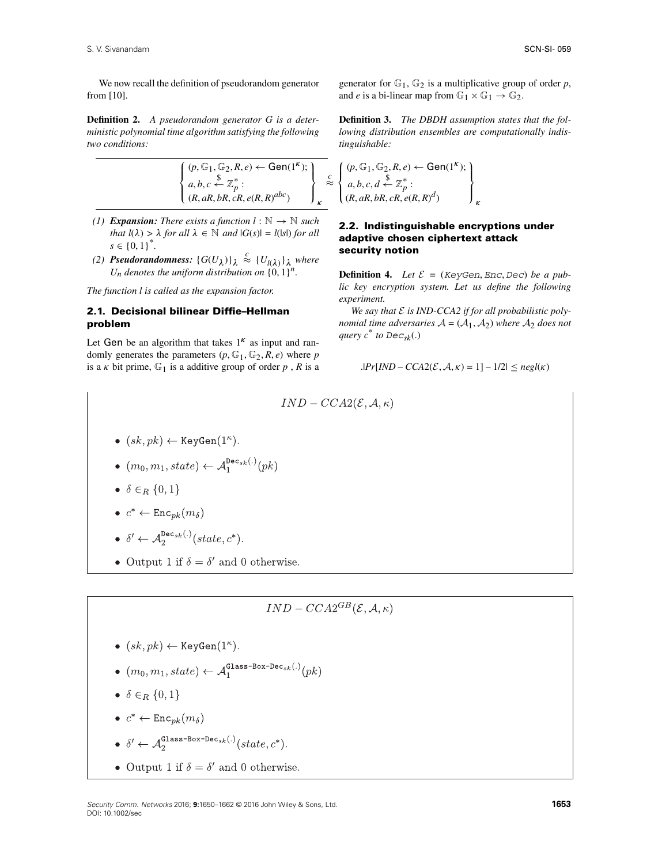We now recall the definition of pseudorandom generator from [\[10\]](#page-9-9).

**Definition 2.** *A pseudorandom generator G is a deterministic polynomial time algorithm satisfying the following two conditions:*

$$
\left\{\n\begin{array}{l}\n(p, \mathbb{G}_1, \mathbb{G}_2, R, e) \leftarrow \text{Gen}(1^k);\n\\ \na, b, c \leftarrow \mathbb{Z}_p^* : \\
(R, aR, bR, cR, e(R, R)^{abc})\n\end{array}\n\right\}_K
$$

- *(1) Expansion: There exists a function l* :  $\mathbb{N} \to \mathbb{N}$  *such that*  $l(\lambda) > \lambda$  *for all*  $\lambda \in \mathbb{N}$  *and*  $|G(s)| = l(|s|)$  *for all*  $s \in \{0, 1\}^*$ .
- *(2) Pseudorandomness:*  $\{G(U_\lambda)\}_\lambda \stackrel{c}{\approx} \{U_{l(\lambda)}\}_\lambda$  where  $U_n$  *denotes the uniform distribution on*  $\{0, 1\}^n$ .

*The function l is called as the expansion factor.*

### **2.1. Decisional bilinear Diffie–Hellman problem**

Let Gen be an algorithm that takes  $1^k$  as input and randomly generates the parameters  $(p, \mathbb{G}_1, \mathbb{G}_2, R, e)$  where *p* is a  $\kappa$  bit prime,  $\mathbb{G}_1$  is a additive group of order  $p$ ,  $R$  is a generator for  $\mathbb{G}_1$ ,  $\mathbb{G}_2$  is a multiplicative group of order *p*, and *e* is a bi-linear map from  $\mathbb{G}_1 \times \mathbb{G}_1 \to \mathbb{G}_2$ .

**Definition 3.** *The DBDH assumption states that the following distribution ensembles are computationally indistinguishable:*

$$
\propto \left\{ \begin{array}{l} (p, \mathbb{G}_1, \mathbb{G}_2, R, e) \leftarrow \text{Gen}(1^K); \\ a, b, c, d \stackrel{\$}{\leftarrow} \mathbb{Z}_p^* : \\ (R, aR, bR, cR, e(R, R)^d) \end{array} \right\}_K
$$

### **2.2. Indistinguishable encryptions under adaptive chosen ciphertext attack security notion**

**Definition 4.** Let  $\mathcal{E} = (KeyGen, Enc, Dec)$  be a pub*lic key encryption system. Let us define the following experiment.*

We say that  $\mathcal E$  is IND-CCA2 if for all probabilistic poly*nomial time adversaries*  $A = (A_1, A_2)$  *where*  $A_2$  *does not query*  $c^*$  *to* Dec<sub>sk</sub>(.)

 $l Pr[IND - CCA2(\mathcal{E}, \mathcal{A}, \kappa) = 1] - 1/2 \leq negl(\kappa)$ 

$$
IND-CCA2(\mathcal{E},\mathcal{A},\kappa)
$$

•  $(sk, pk) \leftarrow KeyGen(1^{\kappa})$ .

• 
$$
(m_0, m_1, state) \leftarrow \mathcal{A}_1^{\text{Dec}_{sk}(.)}(pk)
$$

- $\bullet \ \delta \in_R \{0,1\}$
- $c^* \leftarrow \text{Enc}_{pk}(m_{\delta})$
- $\bullet$   $\delta' \leftarrow \mathcal{A}_2^{\text{Dec}_{sk}(.)}$  (state,  $c^*$ ).
- Output 1 if  $\delta = \delta'$  and 0 otherwise.

$$
IND-CCA2^{GB}(\mathcal{E},\mathcal{A},\kappa)
$$

- $(sk, pk) \leftarrow KeyGen(1^{\kappa})$ .
- $\bullet$   $(m_0, m_1, state) \leftarrow \mathcal{A}_1^{\texttt{Class-Box-Dec}_{sk}(.)}(pk)$
- $\bullet \ \delta \in_R \{0,1\}$
- $\bullet \ c^* \leftarrow \text{Enc}_{pk}(m_{\delta})$
- $\delta' \leftarrow \mathcal{A}_2^{\text{Glass-Box-Dec}_{sk}(.)}(state, c^*).$
- Output 1 if  $\delta = \delta'$  and 0 otherwise.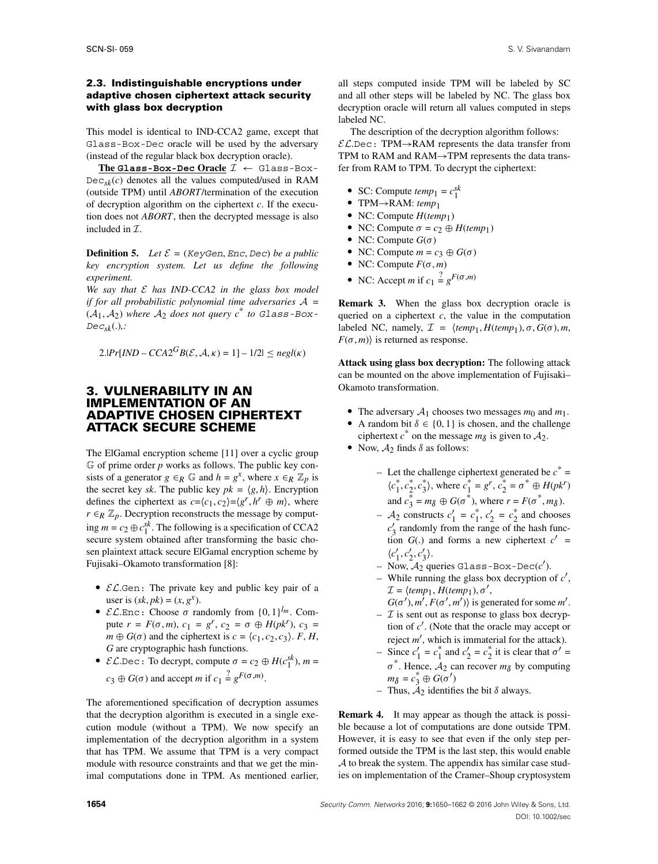### **2.3. Indistinguishable encryptions under adaptive chosen ciphertext attack security with glass box decryption**

This model is identical to IND-CCA2 game, except that Glass-Box-Dec oracle will be used by the adversary (instead of the regular black box decryption oracle).

**The Glass-Box-Dec Oracle**  $\mathcal{I} \leftarrow$  Glass-Box- $Dec_{sk}(c)$  denotes all the values computed/used in RAM (outside TPM) until *ABORT*/termination of the execution of decryption algorithm on the ciphertext *c*. If the execution does not *ABORT*, then the decrypted message is also included in  $\mathcal{I}$ .

**Definition 5.** *Let*  $\mathcal{E} = (KeyGen, Enc, Dec)$  *be a public key encryption system. Let us define the following experiment.*

*We say that* E *has IND-CCA2 in the glass box model if for all probabilistic polynomial time adversaries* A =  $(A_1, A_2)$  *where*  $A_2$  *does not query*  $c^*$  *to* Glass-Box-Dec*sk*(.)*,:*

 $2.1 Pr[IND - CCA2^{G}B(\mathcal{E}, \mathcal{A}, \kappa) = 1] - 1/2| \leq negl(\kappa)$ 

## **3. VULNERABILITY IN AN IMPLEMENTATION OF AN ADAPTIVE CHOSEN CIPHERTEXT ATTACK SECURE SCHEME**

The ElGamal encryption scheme [\[11\]](#page-9-10) over a cyclic group  $G$  of prime order  $p$  works as follows. The public key consists of a generator  $g \in_R \mathbb{G}$  and  $h = g^x$ , where  $x \in_R \mathbb{Z}_p$  is the secret key *sk*. The public key  $pk = \langle g, h \rangle$ . Encryption defines the ciphertext as  $c = \langle c_1, c_2 \rangle = \langle g^r, h^r \oplus m \rangle$ , where  $r \in_R \mathbb{Z}_p$ . Decryption reconstructs the message by computing  $m = c_2 \oplus c_1^{sk}$ . The following is a specification of CCA2 secure system obtained after transforming the basic chosen plaintext attack secure ElGamal encryption scheme by Fujisaki–Okamoto transformation [\[8\]](#page-9-7):

- $\mathcal{EL}.$  Gen: The private key and public key pair of a user is  $(sk, pk) = (x, g<sup>x</sup>).$
- $\mathcal{EL}$ . Enc: Choose  $\sigma$  randomly from  $\{0, 1\}^{l_m}$ . Compute  $r = F(\sigma, m)$ ,  $c_1 = g^r$ ,  $c_2 = \sigma \oplus H(pk^r)$ ,  $c_3 =$  $m \oplus G(\sigma)$  and the ciphertext is  $c = \langle c_1, c_2, c_3 \rangle$ . *F*, *H*, *G* are cryptographic hash functions.
- $\mathcal{EL}.\text{Dec}$ : To decrypt, compute  $\sigma = c_2 \oplus H(c_1^{sk})$ ,  $m =$  $c_3 \oplus G(\sigma)$  and accept *m* if  $c_1 \stackrel{?}{=} g^{F(\sigma,m)}$ .

The aforementioned specification of decryption assumes that the decryption algorithm is executed in a single execution module (without a TPM). We now specify an implementation of the decryption algorithm in a system that has TPM. We assume that TPM is a very compact module with resource constraints and that we get the minimal computations done in TPM. As mentioned earlier, all steps computed inside TPM will be labeled by SC and all other steps will be labeled by NC. The glass box decryption oracle will return all values computed in steps labeled NC.

The description of the decryption algorithm follows:  $\mathcal{EL}$ .Dec: TPM $\rightarrow$ RAM represents the data transfer from TPM to RAM and  $RAM \rightarrow TPM$  represents the data transfer from RAM to TPM. To decrypt the ciphertext:

- SC: Compute  $temp_1 = c_1^{sk}$
- Set compute  $temp_1 c_1$ <br>• TPM $\rightarrow$ RAM:  $temp_1$
- NC: Compute *H*(*temp*1)
- NC: Compute  $\sigma = c_2 \oplus H(\text{temp}_1)$
- NC: Compute  $G(\sigma)$
- NC: Compute  $m = c_3 \oplus G(\sigma)$
- NC: Compute  $F(\sigma, m)$
- NC: Accept *m* if  $c_1 \stackrel{?}{=} g^{F(\sigma,m)}$

**Remark 3.** When the glass box decryption oracle is queried on a ciphertext *c*, the value in the computation labeled NC, namely,  $\mathcal{I} = \langle temp_1, Htemp_1 \rangle$ ,  $\sigma$ ,  $G(\sigma)$ , *m*,  $F(\sigma, m)$  is returned as response.

**Attack using glass box decryption:** The following attack can be mounted on the above implementation of Fujisaki– Okamoto transformation.

- The adversary  $A_1$  chooses two messages  $m_0$  and  $m_1$ .
- $\bullet$ A random bit  $\delta \in \{0, 1\}$  is chosen, and the challenge ciphertext  $c^*$  on the message  $m_\delta$  is given to  $\mathcal{A}_2$ .
- Now,  $A_2$  finds  $\delta$  as follows:
	- Let the challenge ciphertext generated be  $c^*$  =  $\langle c_1^*, c_2^*, c_3^* \rangle$ , where  $c_1^* = g^r, c_2^* = \sigma^* \oplus H(pk^r)$ and  $c_3^* = m_\delta \oplus G(\sigma^*)$ , where  $r = F(\sigma^*, m_\delta)$ .
	- $A_2$  constructs  $c'_1 = c_1^*, c'_2 = c_2^*$  and chooses  $c_3'$  randomly from the range of the hash function  $G(.)$  and forms a new ciphertext  $c' =$  $\langle c_1', c_2', c_3' \rangle$ .
	- $-$  Now,  $A_2$  queries Glass-Box-Dec(c').
	- While running the glass box decryption of  $c'$ ,  $\mathcal{I} = \langle temp_1, Htemp_1 \rangle, \sigma',$
	- $G(\sigma')$ , *m'*,  $F(\sigma', m')$  is generated for some *m'*. –  $\mathcal I$  is sent out as response to glass box decryption of  $c'$ . (Note that the oracle may accept or reject  $m'$ , which is immaterial for the attack).
	- Since  $c_1' = c_1^*$  and  $c_2' = c_2^*$  it is clear that  $\sigma' =$  $\sigma^*$ . Hence,  $A_2$  can recover  $m_\delta$  by computing  $m_{\delta} = c_3^* \oplus G(\sigma')$
	- Thus,  $A_2$  identifies the bit  $\delta$  always.

**Remark 4.** It may appear as though the attack is possible because a lot of computations are done outside TPM. However, it is easy to see that even if the only step performed outside the TPM is the last step, this would enable A to break the system. The appendix has similar case studies on implementation of the Cramer–Shoup cryptosystem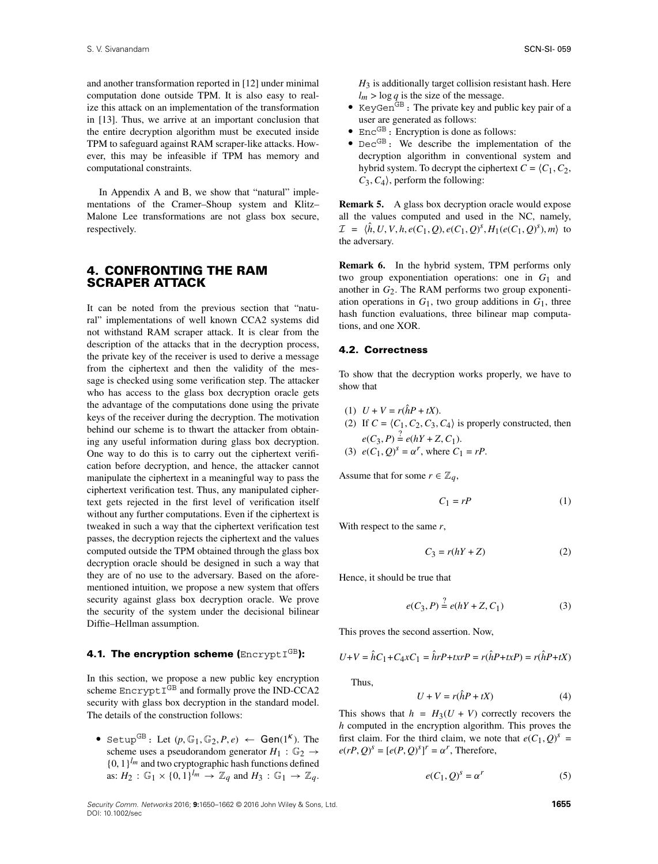and another transformation reported in [\[12\]](#page-9-11) under minimal computation done outside TPM. It is also easy to realize this attack on an implementation of the transformation in [\[13\]](#page-10-0). Thus, we arrive at an important conclusion that the entire decryption algorithm must be executed inside TPM to safeguard against RAM scraper-like attacks. However, this may be infeasible if TPM has memory and computational constraints.

In Appendix A and B, we show that "natural" implementations of the Cramer–Shoup system and Klitz– Malone Lee transformations are not glass box secure, respectively.

## **4. CONFRONTING THE RAM SCRAPER ATTACK**

It can be noted from the previous section that "natural" implementations of well known CCA2 systems did not withstand RAM scraper attack. It is clear from the description of the attacks that in the decryption process, the private key of the receiver is used to derive a message from the ciphertext and then the validity of the message is checked using some verification step. The attacker who has access to the glass box decryption oracle gets the advantage of the computations done using the private keys of the receiver during the decryption. The motivation behind our scheme is to thwart the attacker from obtaining any useful information during glass box decryption. One way to do this is to carry out the ciphertext verification before decryption, and hence, the attacker cannot manipulate the ciphertext in a meaningful way to pass the ciphertext verification test. Thus, any manipulated ciphertext gets rejected in the first level of verification itself without any further computations. Even if the ciphertext is tweaked in such a way that the ciphertext verification test passes, the decryption rejects the ciphertext and the values computed outside the TPM obtained through the glass box decryption oracle should be designed in such a way that they are of no use to the adversary. Based on the aforementioned intuition, we propose a new system that offers security against glass box decryption oracle. We prove the security of the system under the decisional bilinear Diffie–Hellman assumption.

## **4.1. The encryption scheme (EncryptIGB):**

In this section, we propose a new public key encryption scheme EncryptI<sup>GB</sup> and formally prove the IND-CCA2 security with glass box decryption in the standard model. The details of the construction follows:

• Setup<sup>GB</sup>: Let  $(p, \mathbb{G}_1, \mathbb{G}_2, P, e) \leftarrow \text{Gen}(1^k)$ . The scheme uses a pseudorandom generator  $H_1$  :  $\mathbb{G}_2$   $\rightarrow$  ${0, 1}^{l_m}$  and two cryptographic hash functions defined as:  $H_2$ :  $\mathbb{G}_1 \times \{0, 1\}^{l_m} \to \mathbb{Z}_q$  and  $H_3$ :  $\mathbb{G}_1 \to \mathbb{Z}_q$ .

 $H_3$  is additionally target collision resistant hash. Here  $l_m$  > log *q* is the size of the message.

- $\bullet$ KeyGen<sup>GB</sup>: The private key and public key pair of a user are generated as follows:
- Enc<sup>GB</sup>: Encryption is done as follows:
- · Dec<sup>GB</sup>: We describe the implementation of the decryption algorithm in conventional system and hybrid system. To decrypt the ciphertext  $C = \langle C_1, C_2, \rangle$  $C_3, C_4$ , perform the following:

**Remark 5.** A glass box decryption oracle would expose all the values computed and used in the NC, namely,  $\mathcal{I} = \langle \hat{h}, U, V, h, e(C_1, Q), e(C_1, Q)^s, H_1(e(C_1, Q)^s), m \rangle$  to the adversary.

**Remark 6.** In the hybrid system, TPM performs only two group exponentiation operations: one in  $G_1$  and another in  $G_2$ . The RAM performs two group exponentiation operations in  $G_1$ , two group additions in  $G_1$ , three hash function evaluations, three bilinear map computations, and one XOR.

### **4.2. Correctness**

To show that the decryption works properly, we have to show that

- (1)  $U + V = r(\hat{h}P + tX)$ .
- (2) If  $C = \langle C_1, C_2, C_3, C_4 \rangle$  is properly constructed, then  $e(C_3, P) \stackrel{?}{=} e(hY + Z, C_1).$
- (3)  $e(C_1, Q)^s = \alpha^r$ , where  $C_1 = rP$ .

Assume that for some  $r \in \mathbb{Z}_q$ ,

$$
C_1 = rP \tag{1}
$$

With respect to the same *r*,

$$
C_3 = r(hY + Z) \tag{2}
$$

Hence, it should be true that

$$
e(C_3, P) \stackrel{?}{=} e(hY + Z, C_1)
$$
 (3)

This proves the second assertion. Now,

$$
U+V=\hat{h}C_1+C_4xC_1=\hat{h}rP+txrP=r(\hat{h}P+txP)=r(\hat{h}P+tX)
$$

Thus,

$$
U + V = r(\hat{h}P + tX)
$$
 (4)

This shows that  $h = H_3(U + V)$  correctly recovers the *h* computed in the encryption algorithm. This proves the first claim. For the third claim, we note that  $e(C_1, Q)^s$  $e(rP, Q)^s = [e(P, Q)^s]^r = \alpha^r$ , Therefore,

$$
e(C_1, Q)^s = \alpha^r \tag{5}
$$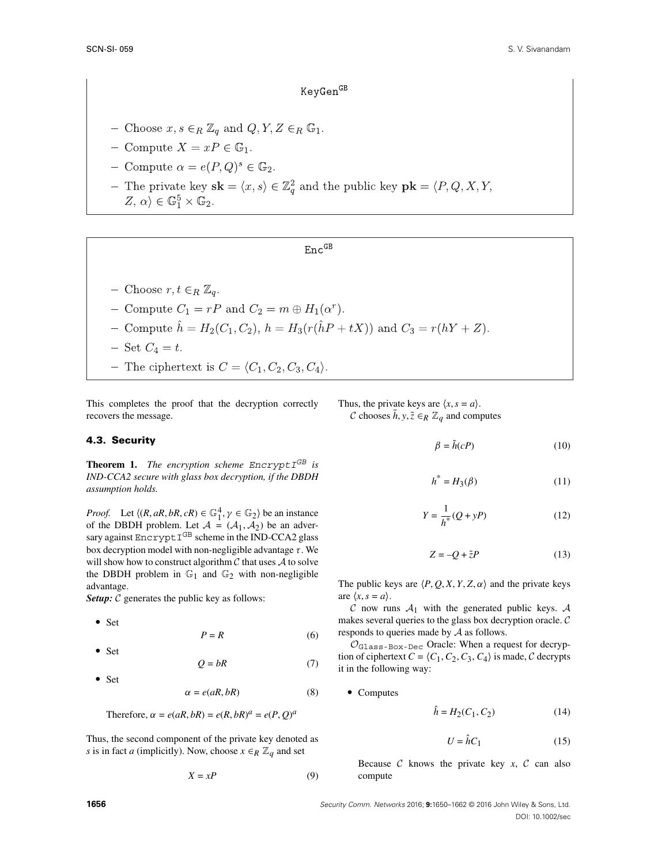## KeyGenGB

- Choose  $x, s \in_R \mathbb{Z}_q$  and  $Q, Y, Z \in_R \mathbb{G}_1$ .
- Compute  $X = xP \in \mathbb{G}_1$ .
- Compute  $\alpha = e(P,Q)^s \in \mathbb{G}_2$ .
- The private key  $s\mathbf{k} = \langle x, s \rangle \in \mathbb{Z}_q^2$  and the public key  $\mathbf{p}\mathbf{k} = \langle P, Q, X, Y, \rangle$  $Z, \alpha \rangle \in \mathbb{G}_1^5 \times \mathbb{G}_2.$

## $Enc^{GB}$

- Choose  $r, t \in_R \mathbb{Z}_a$ .
- Compute  $C_1 = rP$  and  $C_2 = m \oplus H_1(\alpha^r)$ .
- Compute  $\hat{h} = H_2(C_1, C_2)$ ,  $h = H_3(r(\hat{h}P + tX))$  and  $C_3 = r(hY + Z)$ .
- $-$  Set  $C_4 = t$ .
- The ciphertext is  $C = \langle C_1, C_2, C_3, C_4 \rangle$ .

This completes the proof that the decryption correctly recovers the message.

#### **4.3. Security**

**Theorem 1.** *The encryption scheme*  $\text{EncryptI}^{GB}$  *is IND-CCA2 secure with glass box decryption, if the DBDH assumption holds.*

*Proof.* Let  $\langle (R, aR, bR, cR) \in \mathbb{G}_1^4, \gamma \in \mathbb{G}_2 \rangle$  be an instance of the DBDH problem. Let  $A = (A_1, A_2)$  be an adversary against Encrypt I<sup>GB</sup> scheme in the IND-CCA2 glass box decryption model with non-negligible advantage  $\tau$ . We will show how to construct algorithm  $C$  that uses  $A$  to solve the DBDH problem in  $\mathbb{G}_1$  and  $\mathbb{G}_2$  with non-negligible advantage.

*Setup:*  $C$  generates the public key as follows:

• Set

$$
P = R \tag{6}
$$

• Set

• Set

 $Q = bR$  (7)

$$
\alpha = e(aR, bR) \tag{8}
$$

Therefore, 
$$
\alpha = e(aR, bR) = e(R, bR)^a = e(P, Q)^a
$$

Thus, the second component of the private key denoted as *s* is in fact *a* (implicitly). Now, choose  $x \in R \mathbb{Z}_q$  and set

$$
X = xP \tag{9}
$$

Thus, the private keys are  $\langle x, s = a \rangle$ . C chooses  $\tilde{h}$ ,  $y$ ,  $\tilde{z} \in_R \mathbb{Z}_q$  and computes

<span id="page-6-2"></span>
$$
\beta = \tilde{h}(cP) \tag{10}
$$

$$
h^* = H_3(\beta) \tag{11}
$$

<span id="page-6-0"></span>
$$
Y = \frac{1}{h^*}(Q + yP)
$$
 (12)

<span id="page-6-1"></span>
$$
Z = -Q + \tilde{z}P \tag{13}
$$

The public keys are  $\langle P, Q, X, Y, Z, \alpha \rangle$  and the private keys are  $\langle x, s = a \rangle$ .

 $C$  now runs  $A_1$  with the generated public keys. A makes several queries to the glass box decryption oracle. C responds to queries made by A as follows.

 $\mathcal{O}_{\texttt{Glass-Box-Dec}}$  Oracle: When a request for decryption of ciphertext  $C = \langle C_1, C_2, C_3, C_4 \rangle$  is made, C decrypts it in the following way:

• Computes

$$
\hat{h} = H_2(C_1, C_2)
$$
 (14)

$$
U = \hat{h}C_1 \tag{15}
$$

Because  $C$  knows the private key  $x$ ,  $C$  can also compute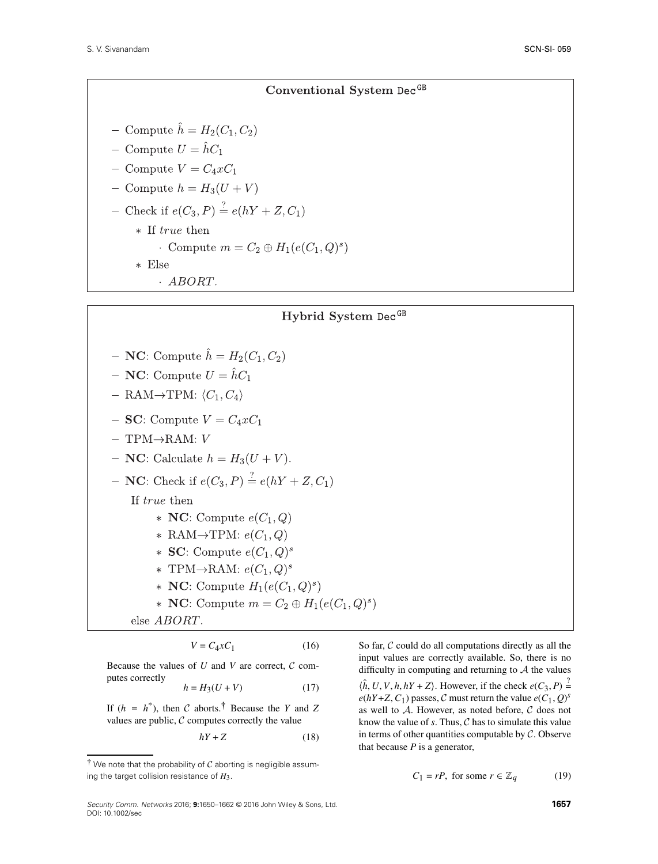## Conventional System Dec<sup>GB</sup>

- Compute  $\hat{h} = H_2(C_1, C_2)$
- Compute  $U = \hat{h}C_1$
- Compute  $V = C_4 x C_1$
- Compute  $h = H_3(U + V)$
- Check if  $e(C_3, P) \stackrel{?}{=} e(hY + Z, C_1)$ 
	- $*$  If *true* then
		- Compute  $m = C_2 \oplus H_1(e(C_1, Q)^s)$
		- $*$  Else
			- $-$  ABORT.

## Hybrid System Dec<sup>GB</sup>

- NC: Compute  $\hat{h} = H_2(C_1, C_2)$ - **NC**: Compute  $U = \hat{h}C_1$  $-$  RAM $\rightarrow$ TPM:  $\langle C_1, C_4 \rangle$ - SC: Compute  $V = C_4 x C_1$  $-$  TPM $\rightarrow$ RAM: V - NC: Calculate  $h = H_3(U + V)$ . - **NC**: Check if  $e(C_3, P) \stackrel{?}{=} e(hY + Z, C_1)$ If *true* then \* **NC**: Compute  $e(C_1, Q)$ \* RAM $\rightarrow$ TPM:  $e(C_1, Q)$ \* **SC**: Compute  $e(C_1, Q)^s$ \* TPM $\rightarrow$ RAM:  $e(C_1, Q)^s$ 
	- \* NC: Compute  $H_1(e(C_1,Q)^s)$
	- \* **NC**: Compute  $m = C_2 \oplus H_1(e(C_1, Q)^s)$
	- else ABORT.

$$
V = C_4 x C_1 \tag{16}
$$

Because the values of  $U$  and  $V$  are correct,  $C$  computes correctly

$$
h = H_3(U + V) \tag{17}
$$

If  $(h = h^*)$ , then C aborts.<sup>†</sup> Because the Y and Z values are public,  $C$  computes correctly the value

$$
hY + Z \tag{18}
$$

So far,  $C$  could do all computations directly as all the input values are correctly available. So, there is no difficulty in computing and returning to  $A$  the values

 $\langle \hat{h}, U, V, h, hY + Z \rangle$ . However, if the check  $e(C_3, P) \stackrel{?}{=}$  $e(hY+Z, C_1)$  passes, C must return the value  $e(C_1, Q)^s$ as well to  $A$ . However, as noted before,  $C$  does not know the value of  $s$ . Thus,  $C$  has to simulate this value in terms of other quantities computable by  $C$ . Observe that because  $P$  is a generator,

<span id="page-7-1"></span>
$$
C_1 = rP, \text{ for some } r \in \mathbb{Z}_q \tag{19}
$$

<span id="page-7-0"></span><sup>&</sup>lt;sup>†</sup> We note that the probability of  $\mathcal C$  aborting is negligible assuming the target collision resistance of *H*3.

Security Comm. Networks 2016; **9:**[1650](#page-0-0)[–1662](#page-12-0) © 2016 John Wiley & Sons, Ltd. **1657** DOI: 10.1002/sec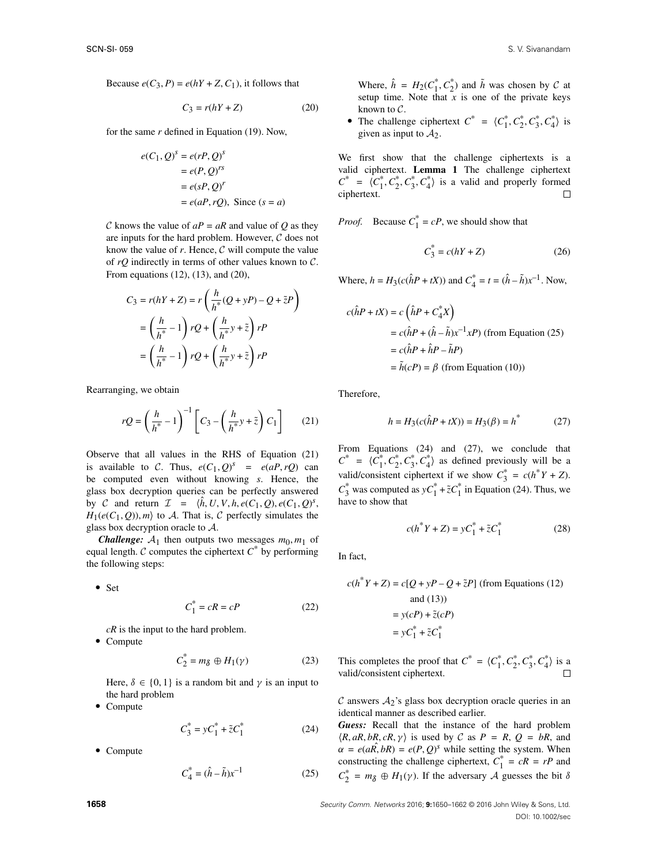Because  $e(C_3, P) = e(hY + Z, C_1)$ , it follows that

<span id="page-8-0"></span>
$$
C_3 = r(hY + Z) \tag{20}
$$

for the same *r* defined in Equation [\(19\)](#page-7-1). Now,

$$
e(C_1, Q)^s = e(rP, Q)^s
$$
  
=  $e(P, Q)^{rs}$   
=  $e(sP, Q)^r$   
=  $e(aP, rQ)$ , Since  $(s = a)$ 

C knows the value of  $aP = aR$  and value of Q as they are inputs for the hard problem. However, C does not know the value of  $r$ . Hence,  $\mathcal C$  will compute the value of *rQ* indirectly in terms of other values known to C. From equations [\(12\)](#page-6-0), [\(13\)](#page-6-1), and [\(20\)](#page-8-0),

$$
C_3 = r(hY + Z) = r\left(\frac{h}{h^*}(Q + yP) - Q + \tilde{z}P\right)
$$
  
= 
$$
\left(\frac{h}{h^*} - 1\right) rQ + \left(\frac{h}{h^*}y + \tilde{z}\right) rP
$$
  
= 
$$
\left(\frac{h}{h^*} - 1\right) rQ + \left(\frac{h}{h^*}y + \tilde{z}\right) rP
$$

Rearranging, we obtain

<span id="page-8-1"></span>
$$
rQ = \left(\frac{h}{h^*} - 1\right)^{-1} \left[ C_3 - \left(\frac{h}{h^*} y + \tilde{z}\right) C_1 \right] \tag{21}
$$

Observe that all values in the RHS of Equation [\(21\)](#page-8-1) is available to C. Thus,  $e(C_1, Q)^s = e(aP, rQ)$  can be computed even without knowing *s*. Hence, the glass box decryption queries can be perfectly answered by C and return  $\mathcal{I} = \langle \hat{h}, U, V, h, e(C_1, Q), e(C_1, Q)^s,$  $H_1(e(C_1, Q)), m$  to A. That is, C perfectly simulates the glass box decryption oracle to A.

*Challenge:*  $A_1$  then outputs two messages  $m_0$ ,  $m_1$  of equal length.  $C$  computes the ciphertext  $C^*$  by performing the following steps:

• Set

$$
C_1^* = cR = cP \tag{22}
$$

*cR* is the input to the hard problem.

• Compute

$$
C_2^* = m_\delta \oplus H_1(\gamma) \tag{23}
$$

Here,  $\delta \in \{0, 1\}$  is a random bit and  $\gamma$  is an input to the hard problem

• Compute

<span id="page-8-3"></span>
$$
C_3^* = yC_1^* + \tilde{z}C_1^*
$$
 (24)

• Compute

<span id="page-8-2"></span>
$$
C_4^* = (\hat{h} - \tilde{h})x^{-1}
$$
 (25)

Where,  $\hat{h} = H_2(C_1^*, C_2^*)$  and  $\tilde{h}$  was chosen by C at setup time. Note that  $\overline{x}$  is one of the private keys known to  $C$ .

 $\bullet$ • The challenge ciphertext  $C^* = \langle C_1^*, C_2^*, C_3^*, C_4^* \rangle$  is given as input to  $A_2$ .

We first show that the challenge ciphertexts is a valid ciphertext. **Lemma 1** The challenge ciphertext  $C^* = \langle C_1^*, C_2^*, C_3^*, C_4^* \rangle$  is a valid and properly formed ciphertext.

*Proof.* Because  $C_1^* = cP$ , we should show that

$$
C_3^* = c(hY + Z)
$$
\n<sup>(26)</sup>

Where,  $h = H_3(c(\hat{h}P + tX))$  and  $C_4^* = t = (\hat{h} - \tilde{h})x^{-1}$ . Now,

$$
c(\hat{h}P + tX) = c(\hat{h}P + C_4^*X)
$$
  
=  $c(\hat{h}P + (\hat{h} - \tilde{h})x^{-1}xP)$  (from Equation (25)  
=  $c(\hat{h}P + \hat{h}P - \tilde{h}P)$   
=  $\tilde{h}(cP) = \beta$  (from Equation (10))

Therefore,

<span id="page-8-4"></span>
$$
h = H_3(c(\hat{h}P + tX)) = H_3(\beta) = h^*
$$
 (27)

From Equations [\(24\)](#page-8-3) and [\(27\)](#page-8-4), we conclude that  $C^* = \langle C_1^*, C_2^*, C_3^*, C_4^* \rangle$  as defined previously will be a valid/consistent ciphertext if we show  $C_3^* = c(h^*Y + Z)$ .  $C_3^*$  was computed as  $yC_1^* + \tilde{z}C_1^*$  in Equation [\(24\)](#page-8-3). Thus, we have to show that

$$
c(h^*Y + Z) = yC_1^* + \tilde{z}C_1^*
$$
 (28)

In fact,

$$
c(h^*Y + Z) = c[Q + yP - Q + \tilde{z}P]
$$
 (from Equations (12)  
and (13))  

$$
= y(cP) + \tilde{z}(cP)
$$
  

$$
= yC_1^* + \tilde{z}C_1^*
$$

This completes the proof that  $C^* = \langle C_1^*, C_2^*, C_3^*, C_4^* \rangle$  is a valid/consistent ciphertext.

 $\mathcal C$  answers  $\mathcal A_2$ 's glass box decryption oracle queries in an identical manner as described earlier.

*Guess:* Recall that the instance of the hard problem  $\langle R, aR, bR, cR, \gamma \rangle$  is used by C as  $P = R$ ,  $Q = bR$ , and  $\alpha = e(a\hat{R}, bR) = e(P, Q)^s$  while setting the system. When constructing the challenge ciphertext,  $C_1^* = cR = rP$  and  $C_2^* = m_\delta \oplus H_1(\gamma)$ . If the adversary A guesses the bit  $\delta$ 

**1658** Security Comm. Networks 2016; **9:**[1650–](#page-0-0)[1662](#page-12-0) © 2016 John Wiley & Sons, Ltd. DOI: 10.1002/sec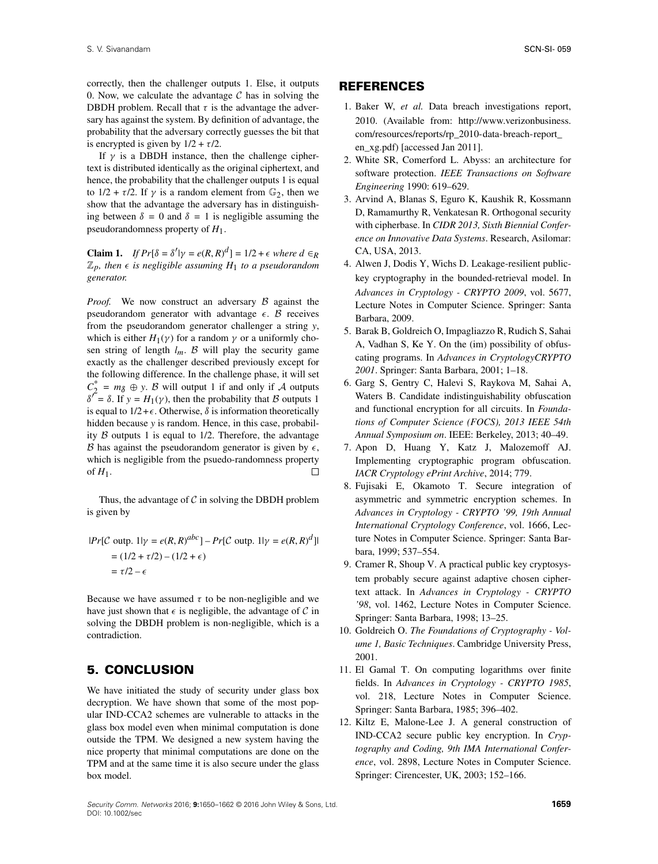correctly, then the challenger outputs 1. Else, it outputs 0. Now, we calculate the advantage  $\mathcal C$  has in solving the DBDH problem. Recall that  $\tau$  is the advantage the adversary has against the system. By definition of advantage, the probability that the adversary correctly guesses the bit that is encrypted is given by  $1/2 + \tau/2$ .

If  $\gamma$  is a DBDH instance, then the challenge ciphertext is distributed identically as the original ciphertext, and hence, the probability that the challenger outputs 1 is equal to  $1/2 + \tau/2$ . If  $\gamma$  is a random element from  $\mathbb{G}_2$ , then we show that the advantage the adversary has in distinguishing between  $\delta = 0$  and  $\delta = 1$  is negligible assuming the pseudorandomness property of *H*1.

**Claim 1.** *If*  $Pr[\delta = \delta' | \gamma = e(R, R)^d] = 1/2 + \epsilon$  where  $d \in_R$  $\mathbb{Z}_p$ , then  $\epsilon$  is negligible assuming  $H_1$  to a pseudorandom *generator.*

*Proof.* We now construct an adversary B against the pseudorandom generator with advantage  $\epsilon$ .  $\beta$  receives from the pseudorandom generator challenger a string *y*, which is either  $H_1(\gamma)$  for a random  $\gamma$  or a uniformly chosen string of length  $l_m$ . B will play the security game exactly as the challenger described previously except for the following difference. In the challenge phase, it will set  $C_2^* = m_\delta \oplus y$ . B will output 1 if and only if A outputs  $\delta^{\prime} = \delta$ . If  $y = H_1(y)$ , then the probability that B outputs 1 is equal to  $1/2 + \epsilon$ . Otherwise,  $\delta$  is information theoretically hidden because *y* is random. Hence, in this case, probability  $\beta$  outputs 1 is equal to 1/2. Therefore, the advantage B has against the pseudorandom generator is given by  $\epsilon$ , which is negligible from the psuedo-randomness property of  $H_1$ . П

Thus, the advantage of  $\mathcal C$  in solving the DBDH problem is given by

$$
|Pr[C \text{ outp. } 1 | \gamma = e(R, R)^{abc}] - Pr[C \text{ outp. } 1 | \gamma = e(R, R)^{d}]|
$$
  
= (1/2 + \tau/2) - (1/2 + \epsilon)  
= \tau/2 - \epsilon

*d*]|

Because we have assumed  $\tau$  to be non-negligible and we have just shown that  $\epsilon$  is negligible, the advantage of C in solving the DBDH problem is non-negligible, which is a contradiction.

## **5. CONCLUSION**

We have initiated the study of security under glass box decryption. We have shown that some of the most popular IND-CCA2 schemes are vulnerable to attacks in the glass box model even when minimal computation is done outside the TPM. We designed a new system having the nice property that minimal computations are done on the TPM and at the same time it is also secure under the glass box model.

## **REFERENCES**

- <span id="page-9-0"></span>1. Baker W, *et al.* Data breach investigations report, 2010. (Available from: [http://www.verizonbusiness.](http://www.verizon business.com/resources/reports/rp_2010-data-breach-report_en_xg.pdf) [com/resources/reports/rp\\_2010-data-breach-report\\_](http://www.verizon business.com/resources/reports/rp_2010-data-breach-report_en_xg.pdf) [en\\_xg.pdf\)](http://www.verizon business.com/resources/reports/rp_2010-data-breach-report_en_xg.pdf) [accessed Jan 2011].
- <span id="page-9-1"></span>2. White SR, Comerford L. Abyss: an architecture for software protection. *IEEE Transactions on Software Engineering* 1990: 619–629.
- <span id="page-9-2"></span>3. Arvind A, Blanas S, Eguro K, Kaushik R, Kossmann D, Ramamurthy R, Venkatesan R. Orthogonal security with cipherbase. In *CIDR 2013, Sixth Biennial Conference on Innovative Data Systems*. Research, Asilomar: CA, USA, 2013.
- <span id="page-9-3"></span>4. Alwen J, Dodis Y, Wichs D. Leakage-resilient publickey cryptography in the bounded-retrieval model. In *Advances in Cryptology - CRYPTO 2009*, vol. 5677, Lecture Notes in Computer Science. Springer: Santa Barbara, 2009.
- <span id="page-9-4"></span>5. Barak B, Goldreich O, Impagliazzo R, Rudich S, Sahai A, Vadhan S, Ke Y. On the (im) possibility of obfuscating programs. In *Advances in CryptologyCRYPTO 2001*. Springer: Santa Barbara, 2001; 1–18.
- <span id="page-9-5"></span>6. Garg S, Gentry C, Halevi S, Raykova M, Sahai A, Waters B. Candidate indistinguishability obfuscation and functional encryption for all circuits. In *Foundations of Computer Science (FOCS), 2013 IEEE 54th Annual Symposium on*. IEEE: Berkeley, 2013; 40–49.
- <span id="page-9-6"></span>7. Apon D, Huang Y, Katz J, Malozemoff AJ. Implementing cryptographic program obfuscation. *IACR Cryptology ePrint Archive*, 2014; 779.
- <span id="page-9-7"></span>8. Fujisaki E, Okamoto T. Secure integration of asymmetric and symmetric encryption schemes. In *Advances in Cryptology - CRYPTO '99, 19th Annual International Cryptology Conference*, vol. 1666, Lecture Notes in Computer Science. Springer: Santa Barbara, 1999; 537–554.
- <span id="page-9-8"></span>9. Cramer R, Shoup V. A practical public key cryptosystem probably secure against adaptive chosen ciphertext attack. In *Advances in Cryptology - CRYPTO '98*, vol. 1462, Lecture Notes in Computer Science. Springer: Santa Barbara, 1998; 13–25.
- <span id="page-9-9"></span>10. Goldreich O. *The Foundations of Cryptography - Volume 1, Basic Techniques*. Cambridge University Press, 2001.
- <span id="page-9-10"></span>11. El Gamal T. On computing logarithms over finite fields. In *Advances in Cryptology - CRYPTO 1985*, vol. 218, Lecture Notes in Computer Science. Springer: Santa Barbara, 1985; 396–402.
- <span id="page-9-11"></span>12. Kiltz E, Malone-Lee J. A general construction of IND-CCA2 secure public key encryption. In *Cryptography and Coding, 9th IMA International Conference*, vol. 2898, Lecture Notes in Computer Science. Springer: Cirencester, UK, 2003; 152–166.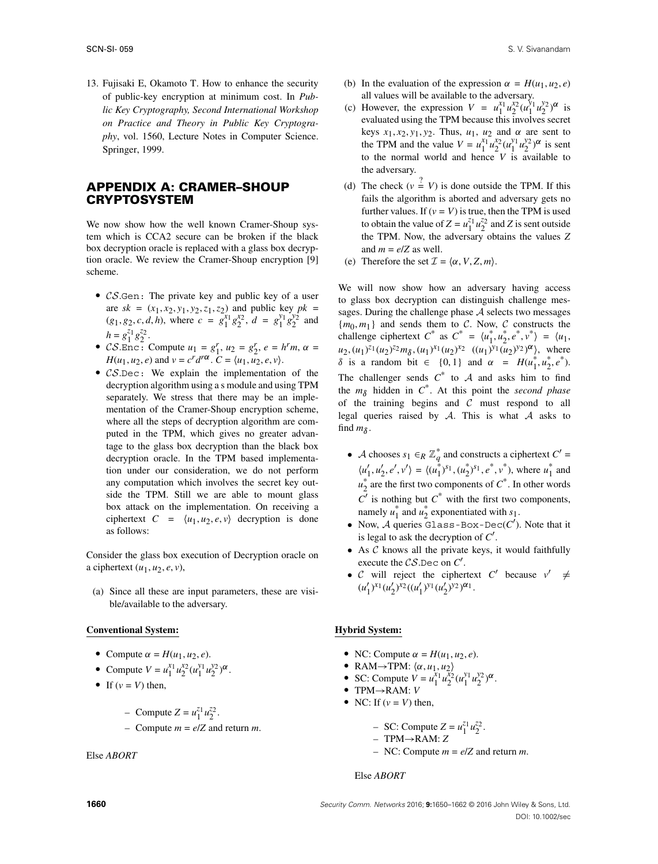<span id="page-10-0"></span>13. Fujisaki E, Okamoto T. How to enhance the security of public-key encryption at minimum cost. In *Public Key Cryptography, Second International Workshop on Practice and Theory in Public Key Cryptography*, vol. 1560, Lecture Notes in Computer Science. Springer, 1999.

## **APPENDIX A: CRAMER–SHOUP CRYPTOSYSTEM**

We now show how the well known Cramer-Shoup system which is CCA2 secure can be broken if the black box decryption oracle is replaced with a glass box decryption oracle. We review the Cramer-Shoup encryption [\[9\]](#page-9-8) scheme.

- *CS*.Gen: The private key and public key of a user are  $sk = (x_1, x_2, y_1, y_2, z_1, z_2)$  and public key  $pk =$  $(g_1, g_2, c, d, h)$ , where  $c = g_1^{x_1} g_2^{x_2}$ ,  $d = g_1^{y_1} g_2^{y_2}$  and  $h = g_1^{z_1} g_2^{z_2}$ .
- *CS*.Enc: Compute  $u_1 = g_1^r$ ,  $u_2 = g_2^r$ ,  $e = h^r m$ ,  $\alpha =$ *H*(*u*<sub>1</sub>, *u*<sub>2</sub>, *e*) and  $v = c^r d^{r\alpha}$ .  $C = \langle u_1, u_2, e, v \rangle$ .
- CS.Dec: We explain the implementation of the decryption algorithm using a s module and using TPM separately. We stress that there may be an implementation of the Cramer-Shoup encryption scheme, where all the steps of decryption algorithm are computed in the TPM, which gives no greater advantage to the glass box decryption than the black box decryption oracle. In the TPM based implementation under our consideration, we do not perform any computation which involves the secret key outside the TPM. Still we are able to mount glass box attack on the implementation. On receiving a ciphertext  $C = \langle u_1, u_2, e, v \rangle$  decryption is done as follows:

Consider the glass box execution of Decryption oracle on a ciphertext  $(u_1, u_2, e, v)$ ,

(a) Since all these are input parameters, these are visible/available to the adversary.

#### **Conventional System:**

- Compute  $\alpha = H(u_1, u_2, e)$ .
- Compute  $V = u_1^{x_1} u_2^{x_2} (u_1^{y_1} u_2^{y_2})^{\alpha}$ .
- If  $(v = V)$  then,

- Compute 
$$
Z = u_1^{z_1} u_2^{z_2}
$$
.

– Compute  $m = e/Z$  and return  $m$ .

Else *ABORT*

- (b) In the evaluation of the expression  $\alpha = H(u_1, u_2, e)$ all values will be available to the adversary.
- (c) However, the expression  $V = u_1^{x_1} u_2^{x_2} (u_1^{y_1} u_2^{y_2})^{\alpha}$  is evaluated using the TPM because this involves secret keys  $x_1, x_2, y_1, y_2$ . Thus,  $u_1, u_2$  and  $\alpha$  are sent to the TPM and the value  $V = u_1^{x_1} u_2^{x_2} (u_1^{y_1} u_2^{y_2})^{\alpha}$  is sent to the normal world and hence *V* is available to the adversary.
- (d) The check  $(v = V)$  is done outside the TPM. If this fails the algorithm is aborted and adversary gets no further values. If  $(v = V)$  is true, then the TPM is used to obtain the value of  $Z = u_1^{z_1} u_2^{z_2}$  and Z is sent outside the TPM. Now, the adversary obtains the values *Z* and  $m = e/Z$  as well.
- (e) Therefore the set  $\mathcal{I} = \langle \alpha, V, Z, m \rangle$ .

We will now show how an adversary having access to glass box decryption can distinguish challenge messages. During the challenge phase  $A$  selects two messages  ${m_0, m_1}$  and sends them to C. Now, C constructs the challenge ciphertext  $C^*$  as  $C^* = \langle u_1^*, u_2^*, e^*, v^* \rangle = \langle u_1, u_2^*, u_1^*, u_2^*, u_2^* \rangle$  $u_2$ ,  $(u_1)^{z_1}(u_2)^{z_2}m_\,, (u_1)^{x_1}(u_2)^{x_2}$   $((u_1)^{y_1}(u_2)^{y_2})^{\alpha}$ , where *δ* is a random bit ∈ {0, 1} and  $\alpha$  = *H*(*u*<sup>\*</sup><sub>1</sub>, *u*<sup>\*</sup><sub>2</sub>, *e*<sup>\*</sup>). The challenger sends  $C^*$  to  $A$  and asks him to find the  $m<sub>δ</sub>$  hidden in  $C^*$ . At this point the *second phase* of the training begins and  $C$  must respond to all legal queries raised by  $A$ . This is what  $A$  asks to find  $m<sub>g</sub>$ .

- *A* chooses  $s_1 \in_R \mathbb{Z}_q^*$  and constructs a ciphertext  $C'$  =  $\langle u'_1, u'_2, e', v' \rangle = \langle (u_1^*)^{s_1}, (u_2^*)^{s_1}, e^*, v^* \rangle$ , where  $u_1^*$  and  $u_2^*$  are the first two components of  $C^*$ . In other words  $C'$  is nothing but  $C^*$  with the first two components, namely  $u_1^*$  and  $u_2^*$  exponentiated with  $s_1$ .
- Now, A queries  $Glass Box Dec(C')$ . Note that it is legal to ask the decryption of  $C'$ .
- As  $C$  knows all the private keys, it would faithfully execute the  $CS$ .Dec on  $C'$ .
- C will reject the ciphertext C' because  $v' \neq$  $(u'_1)^{x_1} (u'_2)^{x_2} ((u'_1)^{y_1} (u'_2)^{y_2})^{\alpha_1}.$

#### **Hybrid System:**

- NC: Compute  $\alpha = H(u_1, u_2, e)$ .
- RAM $\rightarrow$ TPM:  $\langle \alpha, u_1, u_2 \rangle$
- SC: Compute  $V = u_1^{x_1} u_2^{x_2} (u_1^{y_1} u_2^{y_2})^{\alpha}$ .
- $\bullet$  TPM $\rightarrow$ RAM: *V*
- NC: If  $(v = V)$  then,
	- $-$  SC: Compute  $Z = u_1^{z_1} u_2^{z_2}$ .
	- $-$  TPM $\rightarrow$ RAM: Z
	- NC: Compute *m* = *e*/*Z* and return *m*.

Else *ABORT*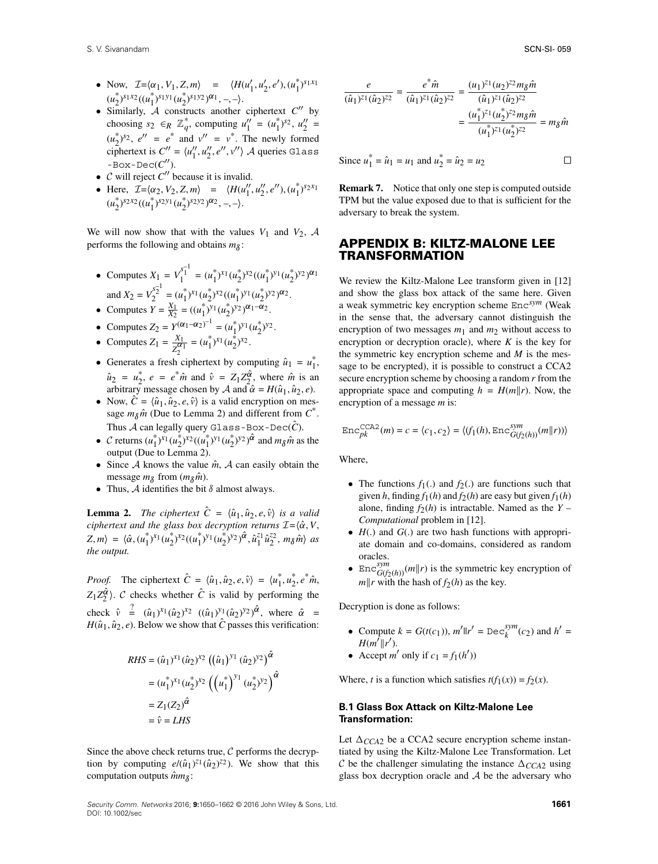$\Box$ 

- Now,  $\mathcal{I} = \langle \alpha_1, V_1, Z, m \rangle$  =  $\langle H(u'_1, u'_2, e'), (u_1^*)^{s \cdot |X|} \rangle$  $(u_2^*)^{s_1x_2}((u_1^*)^{s_1y_1}(u_2^*)^{s_1y_2})^{\alpha_1}, \text{---}, \text{---}.$
- $\bullet$  Similarly,  $\mathcal A$  constructs another ciphertext  $C''$  by choosing  $s_2 \in_R \mathbb{Z}_q^*$ , computing  $u''_1 = (u_1^*)^{s_2}, u''_2 =$  $(u_2^*)^{s_2}$ ,  $e'' = e^*$  and  $v'' = v^*$ . The newly formed ciphertext is  $C'' = \langle u''_1, u''_2, e'', v'' \rangle$  A queries Glass  $-Box-Dec(C'')$ .
- $\bullet$  *C* will reject *C''* because it is invalid.
- Here,  $\mathcal{I} = \langle \alpha_2, V_2, Z, m \rangle = \langle H(u''_1, u''_2, e''), (u^*_1)^{s_2 x_1} \rangle$  $(u_2^*)^{s_2x_2}((u_1^*)^{s_2y_1}(u_2^*)^{s_2y_2})^{\alpha_2}, \text{--},\text{--}.$

We will now show that with the values  $V_1$  and  $V_2$ ,  $A$ performs the following and obtains  $m_\lambda$ :

- Computes  $X_1 = V_1^{s_1^{-1}} = (u_1^*)^{x_1} (u_2^*)^{x_2} ((u_1^*)^{y_1} (u_2^*)^{y_2})^{\alpha_1}$ and  $X_2 = V_2^{s_2^{-1}} = (u_1^*)^{x_1} (u_2^*)^{x_2} ((u_1^*)^{y_1} (u_2^*)^{y_2})^{\alpha_2}.$
- Computes  $Y = \frac{X_1}{X_2} = ((u_1^*)^{y_1} (u_2^*)^{y_2})^{\alpha_1 \alpha_2}.$
- Computes  $Z_2 = Y^{(\alpha_1 \alpha_2)^{-1}} = (u_1^*)^{y_1} (u_2^*)^{y_2}$ .
- Computes  $Z_1 = \frac{X_1}{Z_2^{\alpha_1}}$  $=(u_1^*)^{x_1}(u_2^*)^{x_2}.$
- Generates a fresh ciphertext by computing  $\hat{u}_1 = u_1^*$ ,  $\hat{u}_2 = u_2^*$ ,  $e = e^* \hat{m}$  and  $\hat{v} = Z_1 Z_2^{\hat{\alpha}}$ , where  $\hat{m}$  is an arbitrary message chosen by  $\mathcal A$  and  $\hat \alpha = H(\hat u_1, \hat u_2, e)$ .
- Now,  $\hat{C} = \langle \hat{u}_1, \hat{u}_2, e, \hat{v} \rangle$  is a valid encryption on message  $m_\delta \hat{m}$  (Due to Lemma [2\)](#page-11-0) and different from  $C^*$ . Thus  $\mathcal A$  can legally query Glass-Box-Dec( $\hat C$ ).
- *C* returns  $(u_1^*)^{x_1}(u_2^*)^{x_2}((u_1^*)^{y_1}(u_2^*)^{y_2})^{\hat{\alpha}}$  and  $m_{\delta}\hat{m}$  as the output (Due to Lemma [2\)](#page-11-0).
- Since  $A$  knows the value  $\hat{m}$ ,  $A$  can easily obtain the message  $m_\delta$  from  $(m_\delta \hat{m})$ .
- Thus, A identifies the bit  $\delta$  almost always.

<span id="page-11-0"></span>**Lemma 2.** *The ciphertext*  $\hat{C} = \{\hat{u}_1, \hat{u}_2, e, \hat{v}\}\$  *is a valid ciphertext and the glass box decryption returns*  $\mathcal{I} = \{ \hat{\alpha}, V, \hat{\beta} \}$  $Z, m$ } =  $\langle \hat{\alpha}, (u_1^*)^{x_1} (u_2^*)^{x_2} ((u_1^*)^{y_1} (u_2^*)^{y_2})^{\hat{\alpha}}, \hat{u}_1^{z_1} \hat{u}_2^{z_2}, m_{\delta} \hat{m} \rangle$  *as the output.*

*Proof.* The ciphertext  $\hat{C} = \langle \hat{u}_1, \hat{u}_2, e, \hat{v} \rangle = \langle u_1^*, u_2^*, e^* \hat{m}, \hat{u}_2^* \rangle$  $Z_1Z_2^{\hat{\alpha}}$ ). C checks whether  $\hat{C}$  is valid by performing the check  $\hat{v} = (\hat{u}_1)^{x_1} (\hat{u}_2)^{x_2} ((\hat{u}_1)^{y_1} (\hat{u}_2)^{y_2})^{\hat{\alpha}}$ , where  $\hat{\alpha} =$  $H(\hat{u}_1, \hat{u}_2, e)$ . Below we show that  $\hat{C}$  passes this verification:

$$
RHS = (\hat{u}_1)^{x_1} (\hat{u}_2)^{x_2} ((\hat{u}_1)^{y_1} (\hat{u}_2)^{y_2})^{\hat{\alpha}}
$$
  
=  $(u_1^*)^{x_1} (u_2^*)^{x_2} ((u_1^*)^{y_1} (u_2^*)^{y_2})^{\hat{\alpha}}$   
=  $Z_1 (Z_2)^{\hat{\alpha}}$   
=  $\hat{v}$  = LHS

Since the above check returns true,  $C$  performs the decryption by computing  $e/(\hat{u}_1)^{z_1}(\hat{u}_2)^{z_2}$ ). We show that this computation outputs  $\hat{m}m_{\delta}$ :

$$
\frac{e}{(\hat{u}_1)^{z_1}(\hat{u}_2)^{z_2}} = \frac{e^{*\hat{m}}}{(\hat{u}_1)^{z_1}(\hat{u}_2)^{z_2}} = \frac{(u_1)^{z_1}(u_2)^{z_2}m_{\delta}\hat{m}}{(\hat{u}_1)^{z_1}(\hat{u}_2)^{z_2}}
$$

$$
= \frac{(u_1^*)^{z_1}(u_2^*)^{z_2}m_{\delta}\hat{m}}{(u_1^*)^{z_1}(u_2^*)^{z_2}} = m_{\delta}\hat{m}
$$

Since  $u_1^* = \hat{u}_1 = u_1$  and  $u_2^* = \hat{u}_2 = u_2$ 

**Remark 7.** Notice that only one step is computed outside TPM but the value exposed due to that is sufficient for the adversary to break the system.

## **APPENDIX B: KILTZ-MALONE LEE TRANSFORMATION**

We review the Kiltz-Malone Lee transform given in [\[12\]](#page-9-11) and show the glass box attack of the same here. Given a weak symmetric key encryption scheme Enc*sym* (Weak in the sense that, the adversary cannot distinguish the encryption of two messages  $m_1$  and  $m_2$  without access to encryption or decryption oracle), where  $K$  is the key for the symmetric key encryption scheme and  $M$  is the message to be encrypted), it is possible to construct a CCA2 secure encryption scheme by choosing a random *r* from the appropriate space and computing  $h = H(m||r)$ . Now, the encryption of a message *m* is:

$$
\text{Enc}_{pk}^{\text{CCA2}}(m) = c = \langle c_1, c_2 \rangle = \langle (f_1(h), \text{Enc}_{G(f_2(h))}^{\text{sym}}(m\|r)) \rangle
$$

Where,

- The functions  $f_1(.)$  and  $f_2(.)$  are functions such that given *h*, finding  $f_1(h)$  and  $f_2(h)$  are easy but given  $f_1(h)$ alone, finding  $f_2(h)$  is intractable. Named as the  $Y -$ *Computational* problem in [\[12\]](#page-9-11).
- *H*(.) and *G*(.) are two hash functions with appropriate domain and co-domains, considered as random oracles.
- Enc ${}^{sym}_{G(f_2(h))}(m||r)$  is the symmetric key encryption of  $m||r$  with the hash of  $f_2(h)$  as the key.

Decryption is done as follows:

- Compute  $k = G(t(c_1)), m'||r' = \text{Dec}_k^{sym}(c_2)$  and  $h' =$  $H(m^{\overline{\prime}}||r^{\prime}).$
- Accept *m'* only if  $c_1 = f_1(h')$

Where, *t* is a function which satisfies  $t(f_1(x)) = f_2(x)$ .

### **B.1 Glass Box Attack on Kiltz-Malone Lee Transformation:**

Let  $\Delta_{CCA2}$  be a CCA2 secure encryption scheme instantiated by using the Kiltz-Malone Lee Transformation. Let C be the challenger simulating the instance  $\Delta_{CCA2}$  using glass box decryption oracle and  $A$  be the adversary who